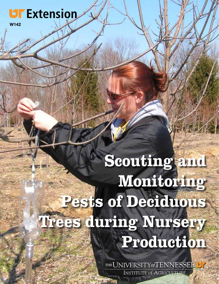# **UF Extension**

W142

# Scouting and Monitoring Pests of Deciduous Trees during Nursery Production

THE UNIVERSITY of TENNESSEE **INSTITUTE of AGRICULTURE**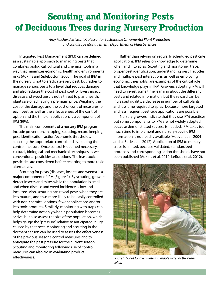## **Scouting and Monitoring Pests** of Deciduous Trees during Nursery Production

*Amy Fulcher, Assistant Professor for Sustainable Ornamental Plant Production and Landscape Management, Department of Plant Sciences*

 Integrated Pest Management (IPM) can be defined as a sustainable approach to managing pests that combines biological, cultural and chemical tools in a way that minimizes economic, health and environmental risks (Adkins and Sidebottom 2000). The goal of IPM in the nursery is not to eradicate every pest, but rather to manage serious pests to a level that reduces damage and also reduces the cost of pest control. Every insect, disease and weed pest is not a threat to plant health, plant sale or achieving a premium price. Weighing the cost of the damage and the cost of control measures for each pest, as well as the effectiveness of the control option and the time of application, is a component of IPM (EPA).

 The main components of a nursery IPM program include prevention, mapping, scouting, record keeping, pest identification, action/economic thresholds, selecting the appropriate control and evaluating the control measure. Once control is deemed necessary, cultural, biological and mechanical techniques as well conventional pesticides are options. The least toxic pesticides are considered before resorting to more toxic alternatives.

 Scouting for pests (diseases, insects and weeds) is a major component of IPM (Figure 1). By scouting, growers detect insects and mites while the population is small and when disease and weed incidence is low and localized. Also, scouting can reveal pests when they are less mature, and thus more likely to be easily controlled with non-chemical options, fewer applications and/or less toxic products. Similarly, monitoring with traps can help determine not only when a population becomes active, but also assess the size of the population, which helps gauge the "pressure" relative to anticipated injury caused by that pest. Monitoring and scouting in the dormant season can be used to assess the effectiveness of the previous season's control measures and to anticipate the pest pressure for the current season. Scouting and monitoring following use of control measures can also aid in evaluating product effectiveness.

 Rather than relying on regularly scheduled pesticide applications, IPM relies on knowledge to determine when and if to spray. Scouting and monitoring traps, proper pest identification, understanding pest lifecycles and multiple pest interactions, as well as employing economic thresholds, are examples of the critical role that knowledge plays in IPM. Growers adopting IPM will need to invest some time learning about the different pests and related information, but the reward can be increased quality, a decrease in number of cull plants and less time required to spray, because more targeted and less frequent pesticide applications are possible. 

 Nursery growers indicate that they use IPM practices but some components to IPM are not widely adopted because demonstrated success is needed, IPM takes too much time to implement and nursery-specific IPM information is not readily available (Hoover et al. 2004 and LeBude et al. 2012). Application of IPM to nursery crops is limited, because validated, standardized protocols and corresponding action thresholds have not been published (Adkins et al. 2010, LeBude et al. 2012).



*Figure 1. Scout for overwintering maple mites at the branch collar.*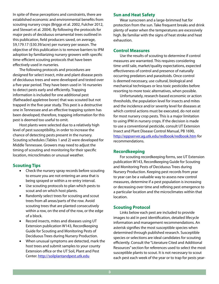In spite of these perceptions and constraints, there are established economic and environmental benefits from scouting nursery crops (Briggs et al. 2002, Fulcher 2012, and Stewart et al. 2004). By following the protocols for major pests of deciduous ornamental trees outlined in this publication, field producers saved, on average, \$9,179.17 (\$30.39/acre) per nursery per season. The objective of this publication is to remove barriers to IPM adoption by familiarizing nursery growers with specific time-efficient scouting protocols that have been effectively used in nurseries.

 The following protocols and procedures are designed for select insect, mite and plant disease pests of deciduous trees and were developed and tested over a five-year period. They have been used in 16 nurseries to detect pests early and efficiently. Trapping information is included for one additional pest (flatheaded appletree borer) that was scouted but not trapped in the five-year study. This pest is a destructive one in Tennessee and an effective trapping system has been developed; therefore, trapping information for this pest is deemed too useful to omit.

 Host plants were selected due to a relatively high level of pest susceptibility, in order to increase the chance of detecting pests present in the nursery. Scouting schedules (Tables 1 and 2) were developed for Middle Tennessee. Growers may need to adjust the timing of scouting and monitoring for their specific location, microclimates or unusual weather.

#### **Scouting Tips**

- Check the nursery spray records before scouting to ensure you are not entering an area that is being sprayed or within a re-entry interval.
- Use scouting protocols to plan which pests to scout and on which host plants.
- Randomly select trees for scouting and scout trees from all areas/parts of the row. Avoid scouting trees that are planted consecutively within a row, on the end of the row, or the edge of a block.
- Record insects, mites and diseases using UT Extension publication W143, Recordkeeping Guide for Scouting and Monitoring Pests of Deciduous Trees during Nursery Production.
- When unusual symptoms are detected, mark the host trees and submit samples to your county Extension office or the UT Soil, Plant and Pest Center. http://soilplantandpest.utk.edu

#### **Sun and Heat Safety**

 Wear sunscreen and a large-brimmed hat for protection from the sun. Take frequent breaks and drink plenty of water when the temperatures are excessively high. Be familiar with the signs of heat stroke and heat exhaustion.

#### **Control Measures**

 Use the results of scouting to determine if control measures are warranted. This requires considering time until sale, market/quality expectations, expected effectiveness of control and presence of naturally occurring predators and parasitoids. Once control is deemed necessary, use cultural, biological and mechanical techniques or less toxic pesticides before resorting to more toxic alternatives, when possible.

 Unfortunately, research-based economic or action thresholds, the population level for insects and mites and the incidence and/or severity level for diseases at which control actions must be executed, do not exist for most nursery crop pests. This is a major limitation to using IPM in nursery crops. If the decision is made to use a conventional pesticide, consult UT Extension Insect and Plant Disease Control Manual, PB 1690, http://eppserver.ag.utk.edu/redbook/redbook.htm for recommendations.

#### **Recordkeeping**

 For scouting recordkeeping forms, see UT Extension publication W143, Recordkeeping Guide for Scouting and Monitoring Pests of Deciduous Trees during Nursery Production. Keeping pest records from year to year can be a valuable way to assess new control measures, determine if a pest population is increasing or decreasing over time and refining pest emergence to a particular location and the microclimates within that location.

#### **Scouting Protocol**

 Links below each pest are included to provide images to aid in pest identification, detailed lifecycle information and management recommendations. An asterisk signifies the most susceptible species when determined through published research. Susceptible species or selections are ideal candidates for scouting efficiently. Consult the "Literature Cited and Additional Resources"section for references used to select the most susceptible plants to scout. It is not necessary to scout each pest each week of the year or to trap for pests year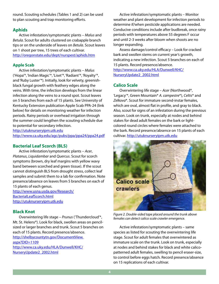round. Scouting schedules (Tables 1 and 2) can be used to plan scouting and trap monitoring efforts.

#### **Aphids**

 Active infestation/symptomatic plants – *Malus* and *Betula.* Scout for adults clustered on crabapple branch tips or on the underside of leaves on *Betula*. Scout leaves on 1 shoot per tree, 15 trees of each cultivar. http://oregonstate.edu/dept/nurspest/aphids.htm

#### **Apple Scab**

 Active infestation/symptomatic plants – *Malus* ('Hopa'\*, 'Indian Magic'\*, 'Liset'\*, 'Radiant'\*, 'Royalty'\*, and'Ruby Luster'\*). Initially, look for velvety, greenishblack fungal growth with feathery edges along the veins. With time, the infection develops from the linear infection along the veins to a round spot. Scout leaves on 5 branches from each of 15 plants. See University of Kentucky Extension publication Apple Scab PPA-24 (link below) for details on monitoring weather for infection periods. Rainy periods or overhead irrigation through the summer could lengthen the scouting schedule due to potential for secondary infection.

http://utuknurseryipm.utk.edu http://www.ca.uky.edu/agc/pubs/ppa/ppa24/ppa24.pdf

#### **Bacterial Leaf Scorch (BLS)**

 Active infestation/symptomatic plants – *Acer*, *Platanus*, *Liquidambar* and *Quercus*. Scout for scorch symptoms (brown, dry leaf margins with yellow wavy band between scorched and green tissue). If the scout cannot distinguish BLS from drought stress, collect leaf samples and submit them to a lab for confirmation. Note presence/absence on leaves from 5 branches on each of 15 plants of each genus.

[http://www.usna.usda.gov/Research/](http://www.usna.usda.gov/Research/BacterialLeafScorch.html) BacterialLeafScorch.html http://utuknurseryipm.utk.edu

#### **Black Knot**

 Overwintering life stage – *Prunus* ('Thundercloud'\*, Mt. St. Helens\*). Look for black, swollen areas on pencilsized or larger branches and trunk. Scout 5 branches on each of 15 plants. Record presence/absence. [http://shelbycountytn.gov/DocumentView.](http://shelbycountytn.gov/DocumentView.aspx?DID=1109) aspx?DID=1109 [http://www.ca.uky.edu/HLA/Dunwell/KHC/](http://www.ca.uky.edu/HLA/Dunwell/KHC/NurseryUpdate2_2002.html) NurseryUpdate2\_2002.html

 Active infestation/symptomatic plants – Monitor weather and plant development for infection periods to determine if/when pesticide applications are needed. Conducive conditions include after budbreak, once rainy periods with temperatures above 55 degrees F occur and until 2-3 weeks after bloom when shoots are no longer expanding.

 Assess damage/control efficacy – Look for cracked bark and swollen stems on current year's growth, indicating a new infection. Scout 5 branches on each of 15 plants. Record presence/absence.

[http://www.ca.uky.edu/HLA/Dunwell/KHC/](http://www.ca.uky.edu/HLA/Dunwell/KHC/NurseryUpdate2_2002.html) NurseryUpdate2\_2002.html

#### **Calico Scale**

 Overwintering life stage – *Acer* (Northwood\*, 'Legacy'\*, Green Mountain\* *A. campestre*\*), *Celtis*\* and *Zelkova*\*. Scout for immature second-instar females, which are oval, almost flat in profile, and gray to black. Also, scout for signs of an infestation during the previous season. Look on trunk, especially at nodes and behind stakes for dead adult females on the bark or lightcolored round circles where females were attached to the bark. Record presence/absence on 15 plants of each cultivar. http://utuknurseryipm.utk.edu



*Figure 2. Double-sided tape placed around the trunk above females can detect calico scale crawler emergence.*

 Active infestation/symptomatic plants – same species as listed for scouting the overwintering life stage. Scout for adult females that overwintered as immature scale on the trunk. Look on trunk, especially at nodes and behind stakes for black and white calicopatterned adult females, swelling to pencil eraser-size, to control before eggs hatch. Record presence/absence on 15 replications of each cultivar.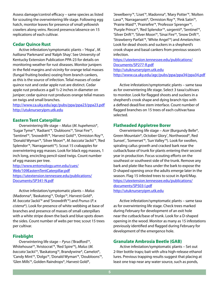Assess damage/control efficacy – same species as listed for scouting the overwintering life stage. Following egg hatch, monitor leaves for presence of small yellowish crawlers along veins. Record presence/absence on 15 replications of each cultivar.

#### **Cedar Quince Rust**

Active infestation/symptomatic plants – 'Hopa' , *M. halliana*'Parkmanii' and'Ralph Shay'. See University of Kentucky Extension Publication PPA-23 for details on monitoring weather for rust diseases. Monitor junipers in the field margins and vicinity for orange telial masses (fungal fruiting bodies) oozing from branch cankers, as this is the source of infection. Telial masses of cedar quince rust and cedar apple rust are distinct. Cedar apple rust produces a gall ½-2 inches in diameter on juniper; cedar quince rust produces orange telial masses on twigs and small branches.

http://www.ca.uky.edu/agc/pubs/ppa/ppa23/ppa23.pdf http://utuknurseryipm.utk.edu

#### **Eastern Tent Caterpillar**

 Overwintering life stage – *Malus* (*M. hupehensis*\*, 'Sugar Tyme'\*, 'Radiant'\*, 'Dubloons'\*, 'Sinai Fire'\*, 'Sentinel'\*, 'Snowdrift'\*, 'Harvest Gold'\*, 'Ormiston Roy'\*, 'Donald Wyman'\*, 'Silver Moon'\*, *M. baccata*'Jackii'\*, 'Red Splendor'\*, 'Narragansett'\*). Scout 15 crabapples for overwintering egg masses. Look for black egg masses, 1 inch long, encircling pencil-sized twigs. Count number of egg masses per tree.

[http://www.entomology.umn.edu/cues/](http://www.entomology.umn.edu/cues/Web/109EasternTentCaterpillar.pdf) Web/109EasternTentCaterpillar.pdf [https://utextension.tennessee.edu/publications/](https://utextension.tennessee.edu/publications/Documents/SP341-N.pdf) Documents/SP341-N.pdf

 Active infestation/symptomatic plants – *Malus* (Madonna\*, 'Baskatong'\*, 'Dolgo'\*, Harvest Gold\*, *M. baccata*'Jackii'\* and'Snowdrift'\*) and *Prunus* (*P.* x *cistena*\*). Look for presence of white webbing at base of branches and presence of masses of small caterpillars with a white stripe down the back and blue spots down the sides. Count number of webs per tree; scout 15 trees per cultivar.

#### **Fireblight**

 Overwintering life stage – *Pyrus* ('Bradford'\*, Whitehouse'\*, 'Aristocrat'\*, 'Red Spire'\*), *Malus* (*M. baccata*'Jackii'\*, 'Baskatong'\*, Brandywine\*, Camelot\*, 'Candy Mint'\*, 'Dolgo'\*, 'Donald Wyman'\*, 'Doubloons'\*, 'Glen Mills'\*, Golden Raindrops\*, Harvest Gold\*,

'Jewelberry'\*, 'Liset'\*, Madonna\*, 'Mary Potter'\*, 'Molten Lava'\*, 'Narragansett\*, 'Ormiston Roy'\*, 'Pink Satin'\*, 'Prairie Maid'\*, 'Prairiefire'\*, 'Professor Sprenger'\*, 'Purple Prince'\*, 'Red Splendor'\*, *sargentii*\*, 'Sentinel'\*, 'Silver Drift'\*, 'Silver Moon'\*, 'Sinai Fire'\*, 'Snow Drift'\*, 'Strawberry Parfait'\*, 'White Angel'\*) and *Amelanchier*. Look for dead shoots and suckers in a shepherd's crook shape and basal cankers from previous season's infection.

[https://utextension.tennessee.edu/publications/](https://utextension.tennessee.edu/publications/Documents/SP277-R.pdf) Documents/SP277-R.pdf http://utuknurseryipm.utk.edu http://www.ca.uky.edu/agc/pubs/ppa/ppa34/ppa34.pdf

 Active infestation/symptomatic plants – same taxa as for overwintering life stage. Select 3 taxa/cultivars to monitor. Look for flagged shoots and suckers in a shepherd's crook shape and dying branch tips with a defined dead/live stem interface. Count number of flagged branches on 15 trees of each cultivar/taxa selected.

#### **Flatheaded Appletree Borer**

 Overwintering life stage – *Acer* (Burgundy Belle\*, Green Mountain\*, October Glory\* , Northwood\*, Red Sunset\* , 'Somerset'\*, 'Sun Valley'\*). Look for swollen, spiraling callus growth and cracked bark near the cutback/base of trunk for plants entering their second year in production. Focus scouting efforts on the southeast or southwest side of the trunk. Remove any bark and plate-like frass under the bark to expose the D-shaped opening once the adults emerge later in the season. Flag 15 infested trees to scout in April/May. [https://utextension.tennessee.edu/publications/](https://utextension.tennessee.edu/publications/documents/SP503-I.pdf) documents/SP503-I.pdf http://utuknurseryipm.utk.edu

 Active infestation/symptomatic plants – same taxa as for overwintering life stage. Check trees marked during February for development of an exit hole near the cutback/base of trunk. Look for a D-shaped opening in the wood. Monitor as many as 15 infestations previously identified and flagged during February for development of the emergence hole.

#### **Granulate Ambrosia Beetle (GAB)**

 Active infestation/symptomatic plants – Set out 2-liter bottle traps; bait with ultra high-release ethanol lures. Previous trapping results suggest that placing at least one trap near any water source, such as ponds,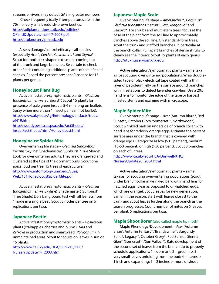streams or rivers, may detect GAB in greater numbers. 

 Check frequently (daily if temperatures are in the 70s) for very small, reddish-brown beetles. [http://soilplantandpest.utk.edu/pdffiles/](http://soilplantandpest.utk.edu/pdffiles/OPandDUpdates/mar-17-2008.pdf) OPandDUpdates/mar-17-2008.pdf http://utuknurseryipm.utk.edu

 Assess damage/control efficacy – all species (especially *Acer*\*, *Cercis*\*, *Koelreuteria*\* and *Styrax*\*). Scout for toothpick-shaped extrusions coming out of the trunk and large branches. Be certain to check other fields containing additional plants of the infested species. Record the percent presence/absence for 15 plants per genus.

#### **Honeylocust Plant Bug**

 Active infestation/symptomatic plants – *Gleditsia triacanthos inermis*'Sunburst\*'. Scout 15 plants for presence of pale green insects 5-6 mm long on leaflets. Spray when more than 1 insect per leaf (not leaflet). [http://www.uky.edu/Ag/Entomology/entfacts/trees/](http://www.uky.edu/Ag/Entomology/entfacts/trees/ef419.htm) ef419.htm

[http://woodypests.cas.psu.edu/FactSheets/](http://woodypests.cas.psu.edu/FactSheets/InsectFactSheets/html/Honeylocust.html) InsectFactSheets/html/Honeylocust.html

#### **Honeylocust Spider Mite**

 Overwintering life stage – *Gleditsia triacanthos inermis*'Skyline', 'Shademaster', 'Sunburst', 'True Shade'. Look for overwintering adults. They are orange-red and clustered at the tips of the dormant buds. Scout one apical bud per tree, 15 trees of each cultivar. http://www.entomology.umn.edu/cues/ Web/151HoneylocustSpiderMite.pdf

 Active infestation/symptomatic plants – *Gleditsia triacanthos inermis*'Skyline', 'Shademaster', 'Sunburst', 'True Shade'. Do a bang board test with all leaflets from 1 node in a single beat. Scout 3 nodes per tree on 5 replications per taxa.

#### **Japanese Beetle**

 Active infestation/symptomatic plants – Rosaceous plants (crabapples, cherries and plums), *Tilia* and *Zelkova* in production and smartweed (*Polygonum*) in unmaintained areas. Scout for adults on leaves in sun on 15 plants.

[http://www.ca.uky.edu/HLA/Dunwell/KHC/](http://www.ca.uky.edu/HLA/Dunwell/KHC/NurseryUpdate14_2003.html) NurseryUpdate14\_2003.html

#### **Japanese Maple Scale**

 Overwintering life stage – *Amelanchier*\*, *Carpinus*\*, *Gleditsia triacanthos inermis*\*, *Ilex*\*, *Magnolia*\* and *Zelkova*\*. For shrubs and multi-stem trees, focus at the base of the plant from the soil line to approximately 8 inches above the soil line. On standard-form trees, scout the trunk and scaffold branches, in particular at the branch collar. Pull apart branches of dense shrubs to clearly see the interior. Scout 15 plants of each genus. http://utuknurseryipm.utk.edu

 Active infestation/symptomatic plants – same taxa as for scouting overwintering populations. Wrap doublesided tape or black electrical tape coated with a thin layer of petroleum jelly on the surface around branches with infestations to detect lavender crawlers. Use a 20x hand lens to monitor the edge of the tape or harvest infested stems and examine with microscope.

#### **Maple Spider Mite**

 Overwintering life stage – *Acer* (Autumn Blaze\*, Red Sunset\*, October Glory, 'Somerset'\*, Northwood\*). Scout wrinkled bark on underside of branch collar with hand lens for reddish-orange eggs. Estimate the percent surface area under the branch that is covered with orange eggs. Categorize as low (>15 percent), medium (15-50 percent) or high (>50 percent). Scout 3 branches on each of 5 trees.

[http://www.ca.uky.edu/HLA/Dunwell/KHC/](http://www.ca.uky.edu/HLA/Dunwell/KHC/NurseryUpdate20_2004.html) NurseryUpdate20\_2004.html

 Active infestation/symptomatic plants – same taxa as for scouting overwintering populations. Scout under branch collar in wrinkled bark with hand lens for hatched eggs (clear as opposed to un-hatched eggs, which are orange). Scout leaves for new generation. Earlier in the season, start with leaves closest to the trunk and scout leaves further along the branch as the season progresses. Count number of mites on 5 leaves per plant, 5 replications per taxa.

#### **Maple Shoot Borer** (also called maple tip moth)

Maple Phenology/Development – *Acer* (Autumn Blaze® , Autumn Fantasy\*, 'Brandywine'\*, Burgundy Belle\*, 'Legacy'\*, October Glory\*, Red Sunset, Sienna Glen\*, 'Somerset'\*, 'Sun Valley'\*). Rate development of the second set of leaves from the branch tip to properly schedule applications: 1 – dormant; 2 – green tip; 3 – very small leaves unfolding from the bud;  $4 -$  leaves  $\ge$ 1 inch and expanding; 5 – 2 inches or more of shoot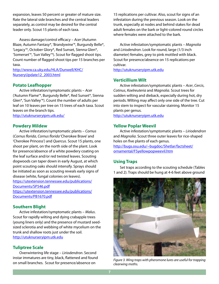expansion, leaves 50 percent or greater of mature size. Rate the lateral side branches and the central leaders separately, as control may be desired for the central leader only. Scout 15 plants of each taxa.

 Assess damage/control efficacy – *Acer* (Autumn Blaze, Autumn Fantasy\*, 'Brandywine'\*, Burgundy Belle\*, 'Legacy'\*, October Glory\*, Red Sunset, Sienna Glen\*, 'Somerset'\*, 'Sun Valley'\*). Scout for flagged shoot tips. Count number of flagged shoot tips per 15 branches per taxa.

[http://www.ca.uky.edu/HLA/Dunwell/KHC/](http://www.ca.uky.edu/HLA/Dunwell/KHC/NurseryUpdate12_2003.html) NurseryUpdate12\_2003.html

#### **Potato Leafhopper**

 Active infestation/symptomatic plants – *Acer*  ('Autumn Flame'\*, Burgundy Belle\*, Red Sunset\*, Sienna Glen\*, 'Sun Valley'\*). Count the number of adults per leaf on 10 leaves per tree on 15 trees of each taxa. Scout leaves on the branch tips.

http://utuknurseryipm.utk.edu/

#### **Powdery Mildew**

 Active infestation/symptomatic plants – *Cornus*  (*Cornus florida*, *Cornus florida*'Cherokee Brave' and 'Cherokee Princess') and *Quercus*. Scout 15 plants, one shoot per plant, on the north side of the plant. Look for presence/absence of a white powdery coating on the leaf surface and/or red twisted leaves. Scouting dogwoods can taper down in early August, at which point scouting oaks should intensify. Sprays should be initiated as soon as scouting reveals early signs of disease (white, fungal colonies on leaves).

[https://utextension.tennessee.edu/publications/](https://utextension.tennessee.edu/publications/Documents/SP546.pdf) Documents/SP546.pdf

[https://utextension.tennessee.edu/publications/](https://utextension.tennessee.edu/publications/Documents/PB1670.pdf) Documents/PB1670.pdf

#### **Southern Blight**

 Active infestation/symptomatic plants – *Malus*. Scout for rapidly wilting and dying crabapple trees (young liners only) and the presence of mustard seedsized sclerotia and webbing of white mycelium on the trunk and shallow roots just under the soil. http://utuknurseryipm.utk.edu

#### **Tuliptree Scale**

 Overwintering life stage – *Liriodendron*. Second instar immatures are tiny, black, flattened and found on small branches. Scout for presence/absence on

15 replications per cultivar. Also, scout for signs of an infestation during the previous season. Look on the trunk, especially at nodes and behind stakes for dead adult females on the bark or light-colored round circles where females were attached to the bark.

 Active infestation/symptomatic plants – *Magnolia* and *Liriodendron*. Look for round, large (1/3 inch diameter) females, grey to pink mottled with black. Scout for presence/absence on 15 replications per cultivar.

http://utuknurseryipm.utk.edu

#### **Verticillium Wilt**

 Active infestation/symptomatic plants – *Acer*, *Cercis*, *Cotinus*, *Koelreuteria* and *Magnolia*. Scout trees for sudden wilting and dieback, especially during hot, dry periods. Wilting may affect only one side of the tree. Cut into stem to inspect for vascular staining. Monitor 15 plants per genus.

http://utuknurseryipm.utk.edu

#### **Yellow Poplar Weevil**

 Active infestation/symptomatic plants – *Liriodendron* and *Magnolia*. Scout three outer leaves for rice-shaped holes on five plants of each genus.

[http://bugs.osu.edu/~bugdoc/Shetlar/factsheet/](http://bugs.osu.edu/~bugdoc/Shetlar/factsheet/ornamental/FSyellowpopweevil.htm) ornamental/FSyellowpopweevil.htm

#### **Using Traps**

Set traps according to the scouting schedule (Tables 1 and 2). Traps should be hung at 4-6 feet above ground



*Figure 3. Wing traps with pheromone lures are useful for trapping clearwing moths.*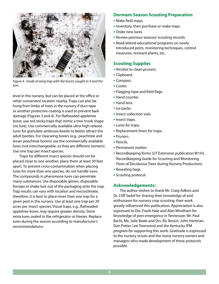

*Figure 4. Inside of wing trap with the borers caught in it and the lure.*

level in the nursery, but can be placed at the office or other convenient location nearby. Traps can also be hung from limbs of trees in the nursery if duct tape or another protective coating is used to prevent bark damage (Figures 3 and 4). For flatheaded appletree borer, use red sticky traps that mimic a tree-trunk shape (no lure). Use commercially available ultra-high-release lures for granulate ambrosia beetle to better attract the adult beetles. For clearwing borers (e.g., peachtree and lesser peachtree borers) use the commercially available lures (not interchangeable, as they are different isomers). Use one trap per insect species.

 Traps for different insect species should not be placed close to one another; place them at least 30 feet apart. To prevent cross-contamination when placing lures for more than one species, do not handle lures. The compounds in pheromone lures can penetrate many substances. Use disposable gloves, disposable forceps or shake lure out of the packaging onto the trap. Trap results can vary with location and microclimate; therefore, it is best to place more than one trap for a given pest in the nursery. Use at least one trap per 20 acres per insect species. Visual traps, e.g., flatheaded appletree borer, may require greater density. Store extra lures sealed in the refrigerator or freezer. Replace lures during the season according to manufacturer's recommendations.

#### **Dormant Season Scouting Preparation**

- Make field maps.
- Inventory, then purchase or make traps.
- Order new lures.
- Review previous seasons'scouting records.
- Read/attend educational programs on newly introduced pests, monitoring techniques, control measures, resistant plants, etc.

#### **Scouting Supplies**

- Alcohol to clean pruners.
- Clipboard.
- Compass.
- Cooler.
- Flagging tape and field flags.
- Hand counter.
- Hand lens.
- Ice packs.
- Insect collection vials.
- Insect traps.
- Lures for traps.
- Replacement liners for traps.
- Pruners.
- Pencils.
- Permanent marker.
- Recordkeeping forms (UT Extension publication W143,Recordkeeping Guide for Scouting and Monitoring Pests of Deciduous Trees during Nursery Production).
- Resealing bags.
- Scouting protocol.

#### **Acknowledgements:**

 The author wishes to thank Mr. Craig Adkins and Dr. Cliff Sadof for sharing their knowledge of and enthusiasm for nursery crop scouting; their work greatly influenced this publication. Appreciation is also expressed to Drs. Frank Hale and Alan Windham for knowledge of pest emergence in Tennessee; Mr. Paul Bachi, Ms. Julie Beale and Drs. Ric Bessin, John Hartman, Dan Potter, Lee Townsend and the Kentucky IPM program for supporting this work. Gratitude is expressed to the nursery scouts and the many nursery owners and managers who made development of these protocols possible.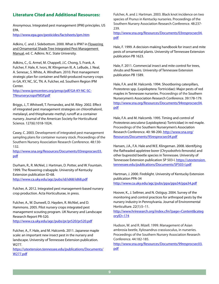#### **Literature Cited and Additional Resources:**

Anonymous. Integrated pest management (IPM) principles. US EPA.

http://www.epa.gov/pesticides/factsheets/ipm.htm

Adkins, C. and J. Sidebottom. 2000. What is IPM? in Flowering and Ornamental Shade Tree Integrated Pest Management Manual, ed. C. Adkins. N.C. State University.

Adkins, C., G. Armel, M. Chappell, J.C. Chong, S. Frank, A. Fulcher, F. Hale, K. Ivors, W. Klingeman III, A. LeBude, J. Neal, A. Senesac, S. White, A. Windham. 2010. Pest management strategic plan for container and field-produced nursery crops in GA, KY, NC, SC, TN. A. Fulcher, ed. Southern Region IPM Center.

http://www.ipmcenters.org/pmsp/pdf/GA-KY-NC-SC-TNnurserycropsPMSP.pdf

Briggs, J., T. Whitwell, T. Fernandez, and M. Riley. 2002. Effect of integrated pest management strategies on chlorothalonil, metalaxyl, and thiophanate-methyl, runoff at a container nursery. Journal of the American Society for Horticultural Science. 127(6):1018-1024.

Casey, C. 2003. Development of integrated pest management sampling plans for container nursery stock. Proceedings of the Southern Nursery Association Research Conference. 48:130- 132.

[http://www.sna.org/Resources/Documents/03resprocsec03.](http://www.sna.org/Resources/Documents/03resprocsec03.pdf) pdf

Durham, R., R. McNiel, J. Hartman, D. Potter, and W. Fountain. 1999. The flowering crabapple. University of Kentucky Extension publication ID-68. http://www.ca.uky.edu/agc/pubs/id/id68/id68.pdf

Fulcher, A. 2012. Integrated pest management-based nursery crop production. Acta Horticulturae, in press.

Fulcher, A., W. Dunwell, D. Hayden, R. McNiel, and D. Hammons. 2005. Pilot nursery crops integrated pest management scouting program. UK Nursery and Landscape Research Report PR-520.

http://www.ca.uky.edu/agc/pubs/pr/pr520/pr520.pdf

Fulcher, A., F. Hale, and M. Halcomb. 2011. Japanese maple scale: an important new insect pest in the nursery and landscape. University of Tennessee Extension publication. W277.

[https://utextension.tennessee.edu/publications/Documents/](https://utextension.tennessee.edu/publications/Documents/W277.pdf) W277.pdf

Fulcher, A. and J. Hartman. 2003. Black knot incidence on two species of *Prunus* in Kentucky nurseries. Proceedings of the Southern Nursery Association Research Conference. 48:237- 239.

[http://www.sna.org/Resources/Documents/03resprocsec04.](http://www.sna.org/Resources/Documents/03resprocsec04.pdf) pdf

Hale, F. 1999. A decision-making handbook for insect and mite pests of ornamental plants. University of Tennessee Extension publication PB 1623.

Hale, F. 2011. Commercial insect and mite control for trees, shrubs and flowers. University of Tennessee Extension publication PB 1589.

Hale, F.A. and M. Halcomb. 1994. Shootboring caterpillars, *Proteoteras* spp. (Lepidoptera: Tortricidae): Major pests of red maples in Tennessee nurseries. Proceedings of the Southern Nurserymen's Association Research Conference. 39:178-179. [http://www.sna.org/Resources/Documents/94resprocsec04.](http://www.sna.org/Resources/Documents/94resprocsec04.pdf) pdf

Hale, F.A. and M. Halcomb. 1995. Timing and control of *Proteoteras aesculana* (Lepidoptera): Tortricidae) in red maple. Proceedings of the Southern Nurserymen's Association Research Conference. 40: 98-200. http://www.sna.org/ Resources/Documents/95resprocsec04.pdf

Hansen, J.A., F.A. Hale and W.E. Klingeman. 2008. Identifying the flatheaded appletree borer (*Chrysobothris femorata*) and other buprestid beetle species in Tennessee. University of Tennessee Extension publication SP 503-I. https://utextension. [tennessee.edu/publications/Documents/SP503-I.pdf](https://utextension.tennessee.edu/publication/Documents/SP503-I.pdf)

Hartman, J. 2000. Fireblight. University of Kentucky Extension publication PPA-34 http://www.ca.uky.edu/agc/pubs/ppa/ppa34/ppa34.pdf

Hoover, K., J. Sellmer, and N. Ostiguy. 2004. Survey of the monitoring and control practices for arthropod pests by the nursery industry in Pennsylvania. Journal of Environmental Horticulture. 22(1):5–11.

[http://www.hriresearch.org/index.cfm?page=Content&categ](http://www.hriresearch.org/index.cfm?page=Content&categoryID=174) oryID=174

Hudson, W. and R. Mizell. 1999. Management of Asian ambrosia beetle, Xylosandrus crassiusculus, in nurseries. Proceedings of the Southern Nursery Association Research Conference. 44:182-185.

[http://www.sna.org/Resources/Documents/99resprocsec03.](http://www.sna.org/Resources/Documents/99resprocsec03.pdf) pdf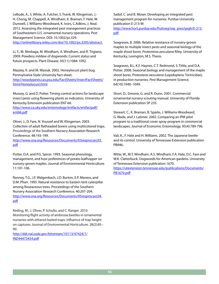LeBude, A., S. White, A. Fulcher, S. Frank, W. Klingeman, J.- H. Chong, M. Chappell, A. Windham, K. Braman, F. Hale, W. Dunwell, J. Williams-Woodward, K. Ivors, C.Adkins, J. Neal. 2012. Assessing the integrated pest management practices of Southeastern U.S. ornamental nursery operations. Pest Management Science. DOI: 10.1002/ps.329. http://onlinelibrary.wiley.com/doi/10.1002/ps.3295/abstract.

Li, Y., M. Mmbaga, M. Windham, A. Windham, and R. Trigiano. 2009. Powdery mildew of dogwoods: Current status and future prospects. Plant Disease. 93(11):1084-1092.

Mazzey, K. and M. Masiuk. 2002. Honeylocust plant bug. Pennsylvania State University fact sheet. [http://woodypests.cas.psu.edu/FactSheets/InsectFactSheets/](http://woodypests.cas.psu.edu/FactSheets/InsectFactSheets/html/Honeylocust.html) html/Honeylocust.html

Mussey, G. and D. Potter. Timing control actions for landscape insect pests using flowering plants as indicators. University of Kentucky Extension publication ENT-66.

[http://www.ca.uky.edu/entomology/entfacts/entfactpdf/](http://www.ca.uky.edu/entomology/entfacts/entfactpdf/ent66.pdf) ent66.pdf

Oliver, J., D. Fare, N. Youssef and W. Klingeman. 2003. Collection of adult flatheaded borers using multicolored traps. Proceedings of the Southern Nursery Association Research Conference. 48:193-199.

[http://www.sna.org/Resources/Documents/03resprocsec03.](http://www.sna.org/Resources/Documents/03resprocsec03.pdf) pdf

Potter, D.A. and P.G. Spicer. 1993. Seasonal phenology, management, and host preferences of potato leafhopper on nursery-grown maples. Journal of Environmental Horticulture. 11:101-106.

Ranney, T.G., J.F. Walgenbach, J.D. Burton, E.P. Maness, and D.M. Pharr. 1995. Natural resistance to Eastern tent caterpillar among Roseaceous trees. Proceedings of the Southern Nursery Association Research Conference. 40:201-204. [http://www.sna.org/Resources/Documents/95resprocsec04.](http://www.sna.org/Resources/Documents/95resprocsec04.pdf) pdf

Reding, M., J. Oliver, P. Schultz, and C. Ranger. 2010. Monitoring flight activity of ambrosia beetles in ornamental nurseries with ethanol-baited traps: Influence of trap height on captures. Journal of Environmental Horticulture. 28(2):85– 90.

[http://ddr.nal.usda.gov/bitstream/10113/47424/1/](http://ddr.nal.usda.gov/bitstream/10113/47424/1/IND44473454.pdf) IND44473454.pdf

Sadof, C. and B. Moser. Developing an integrated pest management program for nurseries. Purdue University publication E-213-W. [http://www.hort.purdue.edu/fruitveg/rep\\_pres/gsgh/E-213.](http://www.hort.purdue.edu/fruitveg/rep_pres/gsgh/E-213.pdf)

pdf

Seagraves, B. 2006. Relative resistance of nursery-grown maples to multiple insect pests and seasonal biology of the maple shoot borer, *Proteoteras aesculana* Riley. University of Kentucky, Lexington, M.S. Thesis.

Seagraves, B.L, K.F. Haynes, C.T. Redmond, S. Tittle, and D.A. Potter. 2008. Seasonal biology and management of the maple shoot borer, *Proteoteras aesculana* (Lepidoptera: Tortricidae), in production nurseries. Pest Management Science. 64(10):1040–1049.

Short, D., Simone, G. and R. Dunn. 2001. Commercial ornamental nursery scouting manual. University of Florida Extension publication SP 235.

Stewart, C., K. Braman, B. Sparks, J. Williams-Woodward, G. Wade, and J. Latimer. 2002. Comparing an IPM pilot program to a traditional cover spray program in commercial landscapes. Journal of Economic Entomology. 95(4):789-796.

Vail, K., F. Hale and H. Williams. 2002. The Japanese beetle and its control. University of Tennessee Extension publication PB946.

Witte, W., M.T. Windham, A.S. Windham, F.A. Hale, D.C. Fare and W.K. Clatterbuck. Dogwoods for American gardens. University of Tennessee Extension publication 1670.

[https://utextension.tennessee.edu/publications/Documents/](https://utextension.tennessee.edu/publications/Documents/PB1670.pdf) PB1670.pdf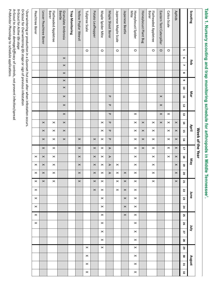Table 1. Nursery scouting and trap monitoring schedule for arthropods in Middle Tennessee'. **Table 1. Nursery scouting and trap monitoring schedule for arthropods in Middle Tennessee1.** 

|                                                                                   |         |                |                |                |                       |                |                         |                       |                       |                       |                       | Week of the Year      |                       |                       |                       |                       |                       |                       |                |                |                |                |                |                |                |                |                |                       |
|-----------------------------------------------------------------------------------|---------|----------------|----------------|----------------|-----------------------|----------------|-------------------------|-----------------------|-----------------------|-----------------------|-----------------------|-----------------------|-----------------------|-----------------------|-----------------------|-----------------------|-----------------------|-----------------------|----------------|----------------|----------------|----------------|----------------|----------------|----------------|----------------|----------------|-----------------------|
| Scouting                                                                          |         |                | ᄝ              |                |                       |                | Mar                     |                       |                       |                       | April                 |                       |                       | Nay                   |                       |                       |                       | June                  |                |                |                | Apr            |                |                |                | August         |                |                       |
|                                                                                   | UT.     | G              | Ñ              | $\infty$       | G                     | 5              | $\mathbf{1}$            | 12                    | 13                    | 14                    | 5                     | 5                     | 17                    | $\bf{28}$             | 5                     | 2O                    | 21                    | 22                    | 23             | 24             | 25             | 26             | $\mathbf{z}$   | 28             | 29             | g              | $\mathbf{5}$   | 32                    |
| <b>Aphids</b>                                                                     |         |                |                |                |                       |                |                         |                       |                       | $\pmb{\times}$        | $\boldsymbol{\times}$ | $\pmb{\times}$        | $\boldsymbol{\times}$ | $\times$              | $\pmb{\times}$        | $\pmb{\times}$        | $\pmb{\times}$        |                       |                |                |                |                |                |                |                |                |                |                       |
| Calico Scale                                                                      | O       |                |                |                |                       |                |                         |                       | $\boldsymbol{\times}$ | $\,\varkappa\,$       | $\boldsymbol{\times}$ | $\boldsymbol{\times}$ | $\boldsymbol{\times}$ | $\boldsymbol{\times}$ |                       |                       |                       |                       |                |                |                |                |                |                |                |                |                |                       |
| Eastern Tent Caterpillar                                                          | $\circ$ |                |                |                |                       |                | $\boldsymbol{\times}$   | $\times$              | $\boldsymbol{\times}$ | $\boldsymbol{\times}$ |                       |                       |                       |                       |                       |                       |                       |                       |                |                |                |                |                |                |                |                |                |                       |
| <b>Borer</b><br>Flatheaded Appletree                                              | $\circ$ |                |                |                |                       |                |                         |                       |                       | $\,\varkappa\,$       | $\,\varkappa\,$       | $\,\varkappa\,$       | $\boldsymbol{\times}$ | $\,\varkappa\,$       | $\boldsymbol{\times}$ | $\,\times\,$          | $\boldsymbol{\times}$ |                       |                |                |                |                |                |                |                |                |                |                       |
| Honeylocust Plant Bug                                                             |         |                |                |                |                       |                |                         |                       |                       | $\boldsymbol{\times}$ | $\boldsymbol{\times}$ | $\boldsymbol{\times}$ | $\boldsymbol{\times}$ |                       |                       |                       |                       |                       |                |                |                |                |                |                |                |                |                |                       |
| Mite<br>Honeylocust Spider                                                        | $\circ$ |                |                |                |                       |                |                         |                       | $\,\varkappa\,$       | $\,\varkappa\,$       | $\,\varkappa\,$       | $\,\varkappa\,$       | $\boldsymbol{\times}$ | $\boldsymbol{\times}$ | $\boldsymbol{\times}$ | $\pmb{\times}$        | $\pmb{\times}$        | $\pmb{\times}$        | $\pmb{\times}$ | $\pmb{\times}$ | $\pmb{\times}$ | $\pmb{\times}$ | $\pmb{\times}$ | $\pmb{\times}$ | $\pmb{\times}$ | $\pmb{\times}$ | $\pmb{\times}$ | $\pmb{\times}$        |
| Japanese Beetle                                                                   |         |                |                |                |                       |                |                         |                       |                       |                       |                       |                       |                       |                       |                       | $\pmb{\times}$        | $\times$              | $\boldsymbol{\times}$ | $\pmb{\times}$ | $\pmb{\times}$ | $\pmb{\times}$ |                |                |                |                |                |                |                       |
| Japanese Maple Scale                                                              | $\circ$ |                |                |                |                       |                |                         |                       |                       |                       |                       |                       |                       |                       | $\pmb{\times}$        | $\boldsymbol{\times}$ | $\pmb{\times}$        | $\boldsymbol{\times}$ |                |                |                |                |                |                |                |                |                |                       |
| Maple Shoot Borer                                                                 |         |                |                |                |                       |                | $\mathbf{\overline{v}}$ | ᠊ᢦ                    | ᠊ᢦ                    | ᠊ᢦ                    | $\mathbf \sigma$      | ᠊ᢦ                    | $\triangleright$      | $\triangleright$      | ⋗                     | $\triangleright$      |                       |                       |                |                |                |                |                |                |                |                |                |                       |
| Maple Spider Mite                                                                 | O       |                |                |                |                       |                |                         |                       |                       | $\pmb{\times}$        | $\boldsymbol{\times}$ | $\,\varkappa\,$       | $\boldsymbol{\times}$ | $\boldsymbol{\times}$ | $\pmb{\times}$        | $\boldsymbol{\times}$ | $\boldsymbol{\times}$ | $\boldsymbol{\times}$ | $\pmb{\times}$ | $\pmb{\times}$ | $\pmb{\times}$ | $\pmb{\times}$ | $\pmb{\times}$ | $\pmb{\times}$ | $\pmb{\times}$ |                |                |                       |
| Potato Leafhopper                                                                 |         |                |                |                |                       |                |                         |                       |                       |                       |                       | $\pmb{\times}$        | $\pmb{\times}$        | $\boldsymbol{\times}$ | $\pmb{\times}$        | $\pmb{\times}$        | $\pmb{\times}$        | $\pmb{\times}$        |                |                |                |                |                |                |                |                |                |                       |
| Tuliptree Scale                                                                   | $\circ$ |                |                |                |                       |                |                         |                       |                       |                       |                       |                       |                       |                       |                       |                       |                       |                       |                |                |                |                |                |                | $\,\times\,$   | $\pmb{\times}$ | $\pmb{\times}$ | $\boldsymbol{\times}$ |
| Yellow Poplar Weevil                                                              |         |                |                |                |                       |                |                         |                       |                       |                       |                       | $\pmb{\times}$        | $\boldsymbol{\times}$ | $\boldsymbol{\times}$ | $\boldsymbol{\times}$ | $\pmb{\times}$        | $\pmb{\times}$        |                       |                |                |                |                |                |                |                |                |                |                       |
| <b>Trap Monitoring</b>                                                            |         |                |                |                |                       |                |                         |                       |                       |                       |                       |                       |                       |                       |                       |                       |                       |                       |                |                |                |                |                |                |                |                |                |                       |
| Granulate Ambrosia<br>Beetle                                                      |         | $\pmb{\times}$ | $\pmb{\times}$ | $\pmb{\times}$ | $\boldsymbol{\times}$ | $\pmb{\times}$ | $\pmb{\times}$          | $\boldsymbol{\times}$ | $\pmb{\times}$        | $\pmb{\times}$        | $\pmb{\times}$        | $\pmb{\times}$        |                       |                       |                       |                       |                       |                       |                |                |                |                |                |                |                |                |                |                       |
| <b>Borer</b><br>Flatheaded Appletree                                              |         |                |                |                |                       |                |                         |                       |                       | $\boldsymbol{\times}$ | $\boldsymbol{\times}$ | ×                     | $\boldsymbol{\times}$ | $\boldsymbol{\times}$ | $\pmb{\times}$        | $\pmb{\times}$        | $\pmb{\times}$        |                       |                |                |                |                |                |                |                |                |                |                       |
| Lesser Peachtree<br>Borer                                                         |         |                |                |                |                       |                |                         |                       |                       | $\boldsymbol{\times}$ | $\boldsymbol{\times}$ | $\pmb{\times}$        | $\times$              | $\times$              | $\pmb{\times}$        | $\times$              | $\times$              |                       |                |                |                |                |                |                |                |                |                |                       |
| Peachtree Borer                                                                   |         |                |                |                |                       |                |                         |                       |                       |                       |                       |                       |                       | $\,\varkappa\,$       | $\boldsymbol{\times}$ | $\boldsymbol{\times}$ | $\boldsymbol{\times}$ | $\pmb{\times}$        | $\pmb{\times}$ | $\pmb{\times}$ | $\pmb{\times}$ | $\pmb{\times}$ |                |                |                |                |                |                       |
| 1 Overwintering or production in a Quonset hut can alter when infestation occurs. |         |                |                |                |                       |                |                         |                       |                       |                       |                       |                       |                       |                       |                       |                       |                       |                       |                |                |                |                |                |                |                |                |                |                       |
| O-Scout for Overwintering life stage or sign of previous infestation              |         |                |                |                |                       |                |                         |                       |                       |                       |                       |                       |                       |                       |                       |                       |                       |                       |                |                |                |                |                |                |                |                |                |                       |

A=Scout to *Assess damage/efficacy* of controls, not prevent infection/spread O=Scout for *Overwintering life stage or s*ign of previous infestation<br>X=Scout for Active life *stage*<br>A=Scout to Assess *damage/efficacy* of controls, not prevent infection/spread<br>P=Mo*nitor Phenology* to schedule applica *Monitor Phenology* to schedule applications

X=Scout for *Active life stage*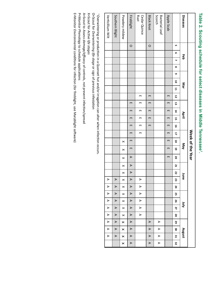# Table 2. Scouting schedule for select diseases in Middle Tennessee1. **Table 2. Scouting schedule for select diseases in Middle Tennessee1.**

|                          |         |   |     |          |   |   |              |    |                |                |                |    |   |          | Week of the Year |                  |                  |                  |                       |                       |                       |                       |                       |                  |                       |                       |                  |
|--------------------------|---------|---|-----|----------|---|---|--------------|----|----------------|----------------|----------------|----|---|----------|------------------|------------------|------------------|------------------|-----------------------|-----------------------|-----------------------|-----------------------|-----------------------|------------------|-----------------------|-----------------------|------------------|
| Diseases                 |         |   | Feb |          |   |   | Mar          |    |                |                | April          |    |   |          | Nay              |                  |                  |                  | June                  |                       |                       |                       | λļη                   |                  |                       |                       | August           |
|                          | UΠ      | თ | ┙   | $\infty$ | ဖ | 5 | $\mathbf{r}$ | 12 | 5              | 14             | 5              | 56 | 4 | 18       | 5                | 20               | 21               | 22               | 23                    | 24                    | 25                    | 56                    | 27                    | 28               | 29                    | g                     | 51               |
| Apple Scab               |         |   |     |          |   |   |              | Ē  | m              | Ē              | m              | Ē  | Ē | m        | m                | Ē                |                  |                  |                       |                       |                       |                       |                       |                  |                       |                       |                  |
| Scorch<br>Bacterial Leaf |         |   |     |          |   |   |              |    |                |                |                |    |   |          |                  |                  |                  |                  |                       |                       |                       |                       |                       |                  | $\triangleright$      | ⋗                     | $\triangleright$ |
| <b>Black Knot</b>        | $\circ$ |   |     |          |   |   |              | m  | m              | m              | m              | m  |   |          |                  |                  |                  |                  |                       |                       |                       |                       |                       |                  | $\triangleright$      | $\triangleright$      | $\triangleright$ |
| Rust<br>Cedar Quince     |         |   |     |          |   |   |              | m  | $\blacksquare$ | $\blacksquare$ | $\blacksquare$ | m  | m |          |                  |                  |                  |                  | D                     | $\blacktriangleright$ | $\triangleright$      | D                     | D                     | $\triangleright$ |                       |                       |                  |
| Fireblight               | $\circ$ |   |     |          |   |   |              |    | Ē              | Ē              | m              | Ē  | Ē | Ē        | Ē                | $\triangleright$ | $\triangleright$ | $\triangleright$ | $\triangleright$      | $\blacktriangleright$ | $\triangleright$      | $\blacktriangleright$ | $\blacktriangleright$ | $\triangleright$ | $\triangleright$      | $\blacktriangleright$ | $\triangleright$ |
| Powdery mildew           |         |   |     |          |   |   |              |    |                |                |                |    |   | $\times$ | $\times$         | $\times$         | $\times$         | ×                | $\boldsymbol{\times}$ | $\boldsymbol{\times}$ | $\boldsymbol{\times}$ | $\boldsymbol{\times}$ | $\times$              | $\times$         | $\times$              | $\boldsymbol{\times}$ | $\times$         |
| Southern Blight          |         |   |     |          |   |   |              |    |                |                |                |    |   |          |                  |                  |                  |                  | $\triangleright$      | $\blacktriangleright$ | $\triangleright$      | $\blacktriangleright$ | $\triangleright$      | $\triangleright$ | $\blacktriangleright$ | $\triangleright$      | $\triangleright$ |
| Verticillium Wilt        |         |   |     |          |   |   |              |    |                |                |                |    |   |          |                  |                  |                  |                  | ⊅                     | ⋗                     | D                     | D                     | $\triangleright$      | D                | $\blacktriangleright$ | ⋗                     | $\triangleright$ |

<sup>1</sup> Overwintering or production in a Quonset hut and/or irragation can alter when infection occurs. 1 Overwintering or production in a Quonset hut and/or irragation can alter when infection occurs.

O=Scout for *Overwintering* O=Scout for Overwintering life stage or sign of previous infestation or sign of previous infestation

X=Scout for Active life stages X=Scout for *Active life stages*

A=Scout to Assess damage/efficacy of controls, not prevent infection/spread A=Scout to *Assess damage/efficacy* of controls, not prevent infection/spread

P=Monitor Phenology to schedule applications P=Monitor *Phenology* to schedule applications

E=Monitor Environmental conditions for infection (for fireblight, use Maryblight software) E=Monitor *Environmental conditions*for infection (for fireblight, use Maryblight software)